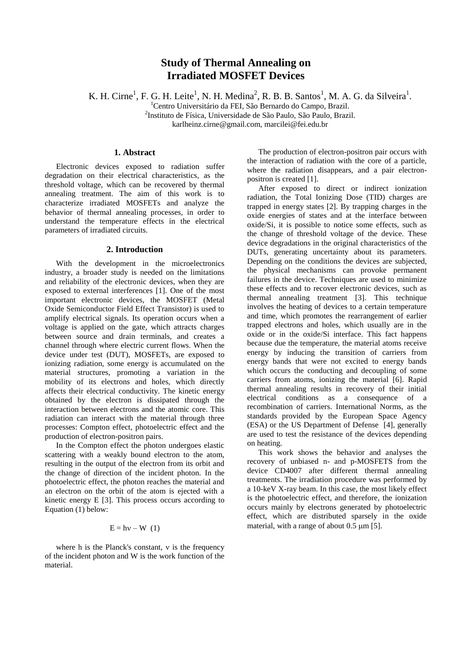# **Study of Thermal Annealing on Irradiated MOSFET Devices**

K. H. Cirne<sup>1</sup>, F. G. H. Leite<sup>1</sup>, N. H. Medina<sup>2</sup>, R. B. B. Santos<sup>1</sup>, M. A. G. da Silveira<sup>1</sup>.

<sup>1</sup>Centro Universitário da FEI, São Bernardo do Campo, Brazil.

2 Instituto de Física, Universidade de São Paulo, São Paulo, Brazil.

karlheinz.cirne@gmail.com, marcilei@fei.edu.br

## **1. Abstract**

Electronic devices exposed to radiation suffer degradation on their electrical characteristics, as the threshold voltage, which can be recovered by thermal annealing treatment. The aim of this work is to characterize irradiated MOSFETs and analyze the behavior of thermal annealing processes, in order to understand the temperature effects in the electrical parameters of irradiated circuits.

#### **2. Introduction**

With the development in the microelectronics industry, a broader study is needed on the limitations and reliability of the electronic devices, when they are exposed to external interferences [1]. One of the most important electronic devices, the MOSFET (Metal Oxide Semiconductor Field Effect Transistor) is used to amplify electrical signals. Its operation occurs when a voltage is applied on the gate, which attracts charges between source and drain terminals, and creates a channel through where electric current flows. When the device under test (DUT), MOSFETs, are exposed to ionizing radiation, some energy is accumulated on the material structures, promoting a variation in the mobility of its electrons and holes, which directly affects their electrical conductivity. The kinetic energy obtained by the electron is dissipated through the interaction between electrons and the atomic core. This radiation can interact with the material through three processes: Compton effect, photoelectric effect and the production of electron-positron pairs.

In the Compton effect the photon undergoes elastic scattering with a weakly bound electron to the atom, resulting in the output of the electron from its orbit and the change of direction of the incident photon. In the photoelectric effect, the photon reaches the material and an electron on the orbit of the atom is ejected with a kinetic energy E [3]. This process occurs according to Equation (1) below:

#### $E = hv - W$  (1)

where h is the Planck's constant,  $\nu$  is the frequency of the incident photon and W is the work function of the material.

The production of electron-positron pair occurs with the interaction of radiation with the core of a particle, where the radiation disappears, and a pair electronpositron is created [1].

After exposed to direct or indirect ionization radiation, the Total Ionizing Dose (TID) charges are trapped in energy states [2]. By trapping charges in the oxide energies of states and at the interface between oxide/Si, it is possible to notice some effects, such as the change of threshold voltage of the device. These device degradations in the original characteristics of the DUTs, generating uncertainty about its parameters. Depending on the conditions the devices are subjected, the physical mechanisms can provoke permanent failures in the device. Techniques are used to minimize these effects and to recover electronic devices, such as thermal annealing treatment [3]. This technique involves the heating of devices to a certain temperature and time, which promotes the rearrangement of earlier trapped electrons and holes, which usually are in the oxide or in the oxide/Si interface. This fact happens because due the temperature, the material atoms receive energy by inducing the transition of carriers from energy bands that were not excited to energy bands which occurs the conducting and decoupling of some carriers from atoms, ionizing the material [6]. Rapid thermal annealing results in recovery of their initial electrical conditions as a consequence of a recombination of carriers. International Norms, as the standards provided by the European Space Agency (ESA) or the US Department of Defense [4], generally are used to test the resistance of the devices depending on heating.

This work shows the behavior and analyses the recovery of unbiased n- and p-MOSFETS from the device CD4007 after different thermal annealing treatments. The irradiation procedure was performed by a 10-keV X-ray beam. In this case, the most likely effect is the photoelectric effect, and therefore, the ionization occurs mainly by electrons generated by photoelectric effect, which are distributed sparsely in the oxide material, with a range of about  $0.5 \text{ }\mu\text{m}$  [5].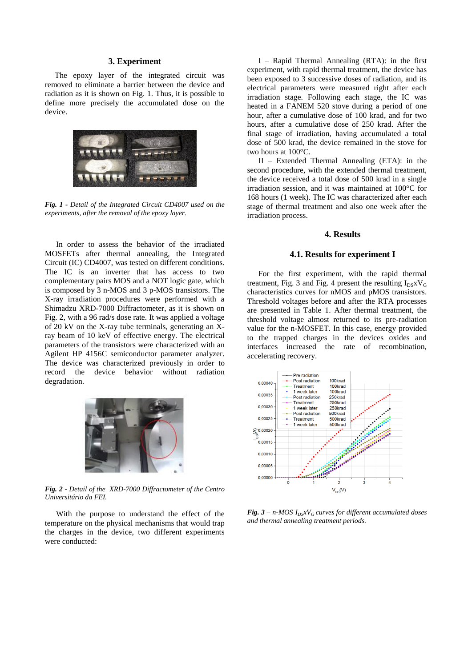## **3. Experiment**

 The epoxy layer of the integrated circuit was removed to eliminate a barrier between the device and radiation as it is shown on Fig. 1. Thus, it is possible to define more precisely the accumulated dose on the device.



*Fig. 1 - Detail of the Integrated Circuit CD4007 used on the experiments, after the removal of the epoxy layer.* 

In order to assess the behavior of the irradiated MOSFETs after thermal annealing, the Integrated Circuit (IC) CD4007, was tested on different conditions. The IC is an inverter that has access to two complementary pairs MOS and a NOT logic gate, which is composed by 3 n-MOS and 3 p-MOS transistors. The X-ray irradiation procedures were performed with a Shimadzu XRD-7000 Diffractometer, as it is shown on Fig. 2, with a 96 rad/s dose rate. It was applied a voltage of 20 kV on the X-ray tube terminals, generating an Xray beam of 10 keV of effective energy. The electrical parameters of the transistors were characterized with an Agilent HP 4156C semiconductor parameter analyzer. The device was characterized previously in order to record the device behavior without radiation degradation.



*Fig. 2 - Detail of the XRD-7000 Diffractometer of the Centro Universitário da FEI.* 

With the purpose to understand the effect of the temperature on the physical mechanisms that would trap the charges in the device, two different experiments were conducted:

I – Rapid Thermal Annealing (RTA): in the first experiment, with rapid thermal treatment, the device has been exposed to 3 successive doses of radiation, and its electrical parameters were measured right after each irradiation stage. Following each stage, the IC was heated in a FANEM 520 stove during a period of one hour, after a cumulative dose of 100 krad, and for two hours, after a cumulative dose of 250 krad. After the final stage of irradiation, having accumulated a total dose of 500 krad, the device remained in the stove for two hours at 100°C.

II – Extended Thermal Annealing (ETA): in the second procedure, with the extended thermal treatment, the device received a total dose of 500 krad in a single irradiation session, and it was maintained at 100°C for 168 hours (1 week). The IC was characterized after each stage of thermal treatment and also one week after the irradiation process.

## **4. Results**

#### **4.1. Results for experiment I**

For the first experiment, with the rapid thermal treatment, Fig. 3 and Fig. 4 present the resulting  $I_{DSX}V_G$ characteristics curves for nMOS and pMOS transistors. Threshold voltages before and after the RTA processes are presented in Table 1. After thermal treatment, the threshold voltage almost returned to its pre-radiation value for the n-MOSFET. In this case, energy provided to the trapped charges in the devices oxides and interfaces increased the rate of recombination, accelerating recovery.



*Fig.*  $3 - n$ *-MOS*  $I_{DS}xV_G$  *curves for different accumulated doses and thermal annealing treatment periods.*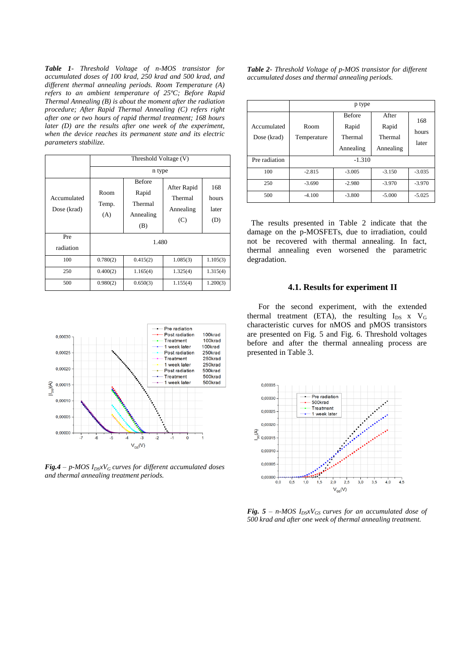*Table 1- Threshold Voltage of n-MOS transistor for accumulated doses of 100 krad, 250 krad and 500 krad, and different thermal annealing periods. Room Temperature (A) refers to an ambient temperature of 25ºC; Before Rapid Thermal Annealing (B) is about the moment after the radiation procedure; After Rapid Thermal Annealing (C) refers right after one or two hours of rapid thermal treatment; 168 hours later (D) are the results after one week of the experiment, when the device reaches its permanent state and its electric parameters stabilize.*

|                            | Threshold Voltage (V) |                                                       |                                            |                              |  |  |
|----------------------------|-----------------------|-------------------------------------------------------|--------------------------------------------|------------------------------|--|--|
|                            | n type                |                                                       |                                            |                              |  |  |
| Accumulated<br>Dose (krad) | Room<br>Temp.<br>(A)  | <b>Before</b><br>Rapid<br>Thermal<br>Annealing<br>(B) | After Rapid<br>Thermal<br>Annealing<br>(C) | 168<br>hours<br>later<br>(D) |  |  |
| Pre<br>radiation           | 1.480                 |                                                       |                                            |                              |  |  |
| 100                        | 0.780(2)              | 0.415(2)                                              | 1.085(3)                                   | 1.105(3)                     |  |  |
| 250                        | 0.400(2)              | 1.165(4)                                              | 1.325(4)                                   | 1.315(4)                     |  |  |
| 500                        | 0.980(2)              | 0.650(3)                                              | 1.155(4)                                   | 1.200(3)                     |  |  |



*Fig.4* – *p-MOS*  $I_{D}$ *sxV<sub>G</sub>* curves for different accumulated doses *and thermal annealing treatment periods.*

*Table 2- Threshold Voltage of p-MOS transistor for different accumulated doses and thermal annealing periods.*

|                            | p type              |                                                |                                        |                       |  |
|----------------------------|---------------------|------------------------------------------------|----------------------------------------|-----------------------|--|
| Accumulated<br>Dose (krad) | Room<br>Temperature | <b>Before</b><br>Rapid<br>Thermal<br>Annealing | After<br>Rapid<br>Thermal<br>Annealing | 168<br>hours<br>later |  |
| Pre radiation              | $-1.310$            |                                                |                                        |                       |  |
| 100                        | $-2.815$            | $-3.005$                                       | $-3.150$                               | $-3.035$              |  |
| 250                        | $-3.690$            | $-2.980$                                       | $-3.970$                               | $-3.970$              |  |
| 500                        | $-4.100$            | $-3.800$                                       | $-5.000$                               | $-5.025$              |  |

 The results presented in Table 2 indicate that the damage on the p-MOSFETs, due to irradiation, could not be recovered with thermal annealing. In fact, thermal annealing even worsened the parametric degradation.

#### **4.1. Results for experiment II**

For the second experiment, with the extended thermal treatment (ETA), the resulting  $I_{DS}$  x  $V_G$ characteristic curves for nMOS and pMOS transistors are presented on Fig. 5 and Fig. 6. Threshold voltages before and after the thermal annealing process are presented in Table 3.



*Fig.*  $5 - n$ -MOS  $I_{DS}xV_{GS}$  curves for an accumulated dose of *500 krad and after one week of thermal annealing treatment.*